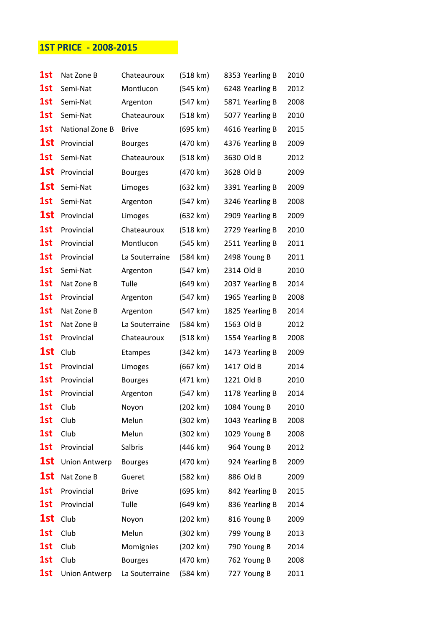## 1ST PRICE - 2008-2015

| 1st | Nat Zone B           | Chateauroux    | (518 km) | 8353 Yearling B | 2010 |
|-----|----------------------|----------------|----------|-----------------|------|
| 1st | Semi-Nat             | Montlucon      | (545 km) | 6248 Yearling B | 2012 |
| 1st | Semi-Nat             | Argenton       | (547 km) | 5871 Yearling B | 2008 |
| 1st | Semi-Nat             | Chateauroux    | (518 km) | 5077 Yearling B | 2010 |
| 1st | National Zone B      | <b>Brive</b>   | (695 km) | 4616 Yearling B | 2015 |
| 1st | Provincial           | <b>Bourges</b> | (470 km) | 4376 Yearling B | 2009 |
| 1st | Semi-Nat             | Chateauroux    | (518 km) | 3630 Old B      | 2012 |
| 1st | Provincial           | <b>Bourges</b> | (470 km) | 3628 Old B      | 2009 |
| 1st | Semi-Nat             | Limoges        | (632 km) | 3391 Yearling B | 2009 |
| 1st | Semi-Nat             | Argenton       | (547 km) | 3246 Yearling B | 2008 |
| 1st | Provincial           | Limoges        | (632 km) | 2909 Yearling B | 2009 |
| 1st | Provincial           | Chateauroux    | (518 km) | 2729 Yearling B | 2010 |
| 1st | Provincial           | Montlucon      | (545 km) | 2511 Yearling B | 2011 |
| 1st | Provincial           | La Souterraine | (584 km) | 2498 Young B    | 2011 |
| 1st | Semi-Nat             | Argenton       | (547 km) | 2314 Old B      | 2010 |
| 1st | Nat Zone B           | Tulle          | (649 km) | 2037 Yearling B | 2014 |
| 1st | Provincial           | Argenton       | (547 km) | 1965 Yearling B | 2008 |
| 1st | Nat Zone B           | Argenton       | (547 km) | 1825 Yearling B | 2014 |
| 1st | Nat Zone B           | La Souterraine | (584 km) | 1563 Old B      | 2012 |
| 1st | Provincial           | Chateauroux    | (518 km) | 1554 Yearling B | 2008 |
| 1st | Club                 | <b>Etampes</b> | (342 km) | 1473 Yearling B | 2009 |
| 1st | Provincial           | Limoges        | (667 km) | 1417 Old B      | 2014 |
| 1st | Provincial           | <b>Bourges</b> | (471 km) | 1221 Old B      | 2010 |
| 1st | Provincial           | Argenton       | (547 km) | 1178 Yearling B | 2014 |
| 1st | Club                 | Noyon          | (202 km) | 1084 Young B    | 2010 |
| 1st | Club                 | Melun          | (302 km) | 1043 Yearling B | 2008 |
| 1st | Club                 | Melun          | (302 km) | 1029 Young B    | 2008 |
| 1st | Provincial           | Salbris        | (446 km) | 964 Young B     | 2012 |
| 1st | <b>Union Antwerp</b> | <b>Bourges</b> | (470 km) | 924 Yearling B  | 2009 |
| 1st | Nat Zone B           | Gueret         | (582 km) | 886 Old B       | 2009 |
| 1st | Provincial           | <b>Brive</b>   | (695 km) | 842 Yearling B  | 2015 |
| 1st | Provincial           | Tulle          | (649 km) | 836 Yearling B  | 2014 |
| 1st | Club                 | Noyon          | (202 km) | 816 Young B     | 2009 |
| 1st | Club                 | Melun          | (302 km) | 799 Young B     | 2013 |
| 1st | Club                 | Momignies      | (202 km) | 790 Young B     | 2014 |
| 1st | Club                 | <b>Bourges</b> | (470 km) | 762 Young B     | 2008 |
| 1st | <b>Union Antwerp</b> | La Souterraine | (584 km) | 727 Young B     | 2011 |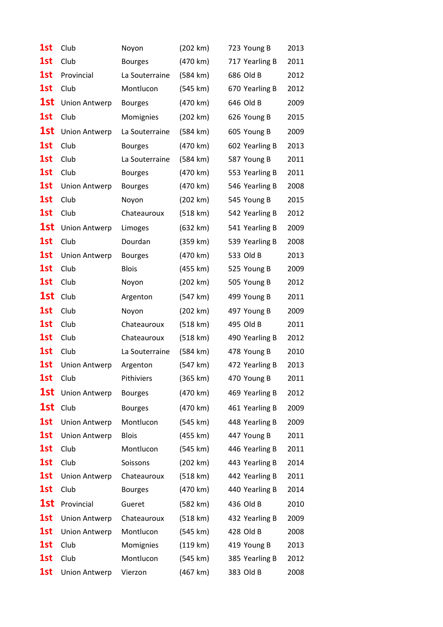| 1st | Club                 | Noyon          | (202 km)           | 723 Young B    | 2013 |
|-----|----------------------|----------------|--------------------|----------------|------|
| 1st | Club                 | <b>Bourges</b> | (470 km)           | 717 Yearling B | 2011 |
| 1st | Provincial           | La Souterraine | (584 km)           | 686 Old B      | 2012 |
| 1st | Club                 | Montlucon      | (545 km)           | 670 Yearling B | 2012 |
| 1st | <b>Union Antwerp</b> | <b>Bourges</b> | (470 km)           | 646 Old B      | 2009 |
| 1st | Club                 | Momignies      | (202 km)           | 626 Young B    | 2015 |
| 1st | <b>Union Antwerp</b> | La Souterraine | $(584 \text{ km})$ | 605 Young B    | 2009 |
| 1st | Club                 | <b>Bourges</b> | (470 km)           | 602 Yearling B | 2013 |
| 1st | Club                 | La Souterraine | (584 km)           | 587 Young B    | 2011 |
| 1st | Club                 | <b>Bourges</b> | (470 km)           | 553 Yearling B | 2011 |
| 1st | <b>Union Antwerp</b> | <b>Bourges</b> | (470 km)           | 546 Yearling B | 2008 |
| 1st | Club                 | Noyon          | (202 km)           | 545 Young B    | 2015 |
| 1st | Club                 | Chateauroux    | (518 km)           | 542 Yearling B | 2012 |
| 1st | <b>Union Antwerp</b> | Limoges        | (632 km)           | 541 Yearling B | 2009 |
| 1st | Club                 | Dourdan        | (359 km)           | 539 Yearling B | 2008 |
| 1st | <b>Union Antwerp</b> | <b>Bourges</b> | (470 km)           | 533 Old B      | 2013 |
| 1st | Club                 | <b>Blois</b>   | (455 km)           | 525 Young B    | 2009 |
| 1st | Club                 | Noyon          | (202 km)           | 505 Young B    | 2012 |
| 1st | Club                 | Argenton       | (547 km)           | 499 Young B    | 2011 |
| 1st | Club                 | Noyon          | (202 km)           | 497 Young B    | 2009 |
| 1st | Club                 | Chateauroux    | (518 km)           | 495 Old B      | 2011 |
| 1st | Club                 | Chateauroux    | (518 km)           | 490 Yearling B | 2012 |
| 1st | Club                 | La Souterraine | $(584 \text{ km})$ | 478 Young B    | 2010 |
| 1st | <b>Union Antwerp</b> | Argenton       | (547 km)           | 472 Yearling B | 2013 |
| 1st | Club                 | Pithiviers     | (365 km)           | 470 Young B    | 2011 |
| 1st | <b>Union Antwerp</b> | <b>Bourges</b> | (470 km)           | 469 Yearling B | 2012 |
| 1st | Club                 | <b>Bourges</b> | (470 km)           | 461 Yearling B | 2009 |
| 1st | <b>Union Antwerp</b> | Montlucon      | (545 km)           | 448 Yearling B | 2009 |
| 1st | <b>Union Antwerp</b> | <b>Blois</b>   | (455 km)           | 447 Young B    | 2011 |
| 1st | Club                 | Montlucon      | (545 km)           | 446 Yearling B | 2011 |
| 1st | Club                 | Soissons       | (202 km)           | 443 Yearling B | 2014 |
| 1st | <b>Union Antwerp</b> | Chateauroux    | (518 km)           | 442 Yearling B | 2011 |
| 1st | Club                 | <b>Bourges</b> | (470 km)           | 440 Yearling B | 2014 |
| 1st | Provincial           | Gueret         | (582 km)           | 436 Old B      | 2010 |
| 1st | <b>Union Antwerp</b> | Chateauroux    | (518 km)           | 432 Yearling B | 2009 |
| 1st | <b>Union Antwerp</b> | Montlucon      | (545 km)           | 428 Old B      | 2008 |
| 1st | Club                 | Momignies      | (119 km)           | 419 Young B    | 2013 |
| 1st | Club                 | Montlucon      | (545 km)           | 385 Yearling B | 2012 |
| 1st | <b>Union Antwerp</b> | Vierzon        | (467 km)           | 383 Old B      | 2008 |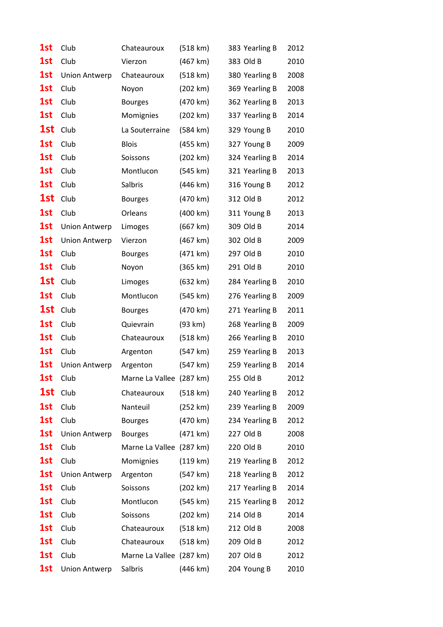| 1st | Club                 | Chateauroux              | (518 km)           | 383 Yearling B | 2012 |
|-----|----------------------|--------------------------|--------------------|----------------|------|
| 1st | Club                 | Vierzon                  | (467 km)           | 383 Old B      | 2010 |
| 1st | <b>Union Antwerp</b> | Chateauroux              | (518 km)           | 380 Yearling B | 2008 |
| 1st | Club                 | Noyon                    | (202 km)           | 369 Yearling B | 2008 |
| 1st | Club                 | <b>Bourges</b>           | (470 km)           | 362 Yearling B | 2013 |
| 1st | Club                 | Momignies                | (202 km)           | 337 Yearling B | 2014 |
| 1st | Club                 | La Souterraine           | $(584 \text{ km})$ | 329 Young B    | 2010 |
| 1st | Club                 | <b>Blois</b>             | (455 km)           | 327 Young B    | 2009 |
| 1st | Club                 | Soissons                 | (202 km)           | 324 Yearling B | 2014 |
| 1st | Club                 | Montlucon                | (545 km)           | 321 Yearling B | 2013 |
| 1st | Club                 | Salbris                  | $(446 \text{ km})$ | 316 Young B    | 2012 |
| 1st | Club                 | <b>Bourges</b>           | (470 km)           | 312 Old B      | 2012 |
| 1st | Club                 | Orleans                  | (400 km)           | 311 Young B    | 2013 |
| 1st | <b>Union Antwerp</b> | Limoges                  | (667 km)           | 309 Old B      | 2014 |
| 1st | <b>Union Antwerp</b> | Vierzon                  | (467 km)           | 302 Old B      | 2009 |
| 1st | Club                 | <b>Bourges</b>           | (471 km)           | 297 Old B      | 2010 |
| 1st | Club                 | Noyon                    | (365 km)           | 291 Old B      | 2010 |
| 1st | Club                 | Limoges                  | (632 km)           | 284 Yearling B | 2010 |
| 1st | Club                 | Montlucon                | (545 km)           | 276 Yearling B | 2009 |
| 1st | Club                 | <b>Bourges</b>           | (470 km)           | 271 Yearling B | 2011 |
| 1st | Club                 | Quievrain                | (93 km)            | 268 Yearling B | 2009 |
| 1st | Club                 | Chateauroux              | (518 km)           | 266 Yearling B | 2010 |
| 1st | Club                 | Argenton                 | (547 km)           | 259 Yearling B | 2013 |
| 1st | <b>Union Antwerp</b> | Argenton                 | (547 km)           | 259 Yearling B | 2014 |
| 1st | Club                 | Marne La Vallee (287 km) |                    | 255 Old B      | 2012 |
| 1st | Club                 | Chateauroux              | (518 km)           | 240 Yearling B | 2012 |
| 1st | Club                 | Nanteuil                 | $(252 \text{ km})$ | 239 Yearling B | 2009 |
| 1st | Club                 | <b>Bourges</b>           | (470 km)           | 234 Yearling B | 2012 |
| 1st | <b>Union Antwerp</b> | <b>Bourges</b>           | (471 km)           | 227 Old B      | 2008 |
| 1st | Club                 | Marne La Vallee (287 km) |                    | 220 Old B      | 2010 |
| 1st | Club                 | Momignies                | (119 km)           | 219 Yearling B | 2012 |
| 1st | <b>Union Antwerp</b> | Argenton                 | (547 km)           | 218 Yearling B | 2012 |
| 1st | Club                 | Soissons                 | (202 km)           | 217 Yearling B | 2014 |
| 1st | Club                 | Montlucon                | (545 km)           | 215 Yearling B | 2012 |
| 1st | Club                 | Soissons                 | (202 km)           | 214 Old B      | 2014 |
| 1st | Club                 | Chateauroux              | (518 km)           | 212 Old B      | 2008 |
| 1st | Club                 | Chateauroux              | (518 km)           | 209 Old B      | 2012 |
| 1st | Club                 | Marne La Vallee (287 km) |                    | 207 Old B      | 2012 |
| 1st | <b>Union Antwerp</b> | Salbris                  | $(446 \text{ km})$ | 204 Young B    | 2010 |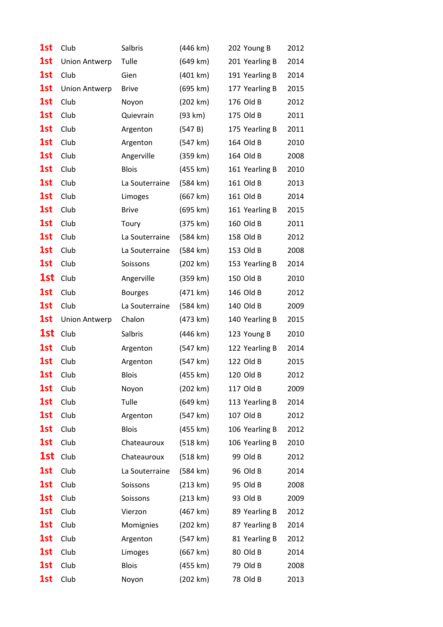| 1st | Club                 | Salbris        | $(446 \text{ km})$ | 202 Young B    | 2012 |
|-----|----------------------|----------------|--------------------|----------------|------|
| 1st | <b>Union Antwerp</b> | Tulle          | (649 km)           | 201 Yearling B | 2014 |
| 1st | Club                 | Gien           | (401 km)           | 191 Yearling B | 2014 |
| 1st | <b>Union Antwerp</b> | <b>Brive</b>   | (695 km)           | 177 Yearling B | 2015 |
| 1st | Club                 | Noyon          | (202 km)           | 176 Old B      | 2012 |
| 1st | Club                 | Quievrain      | (93 km)            | 175 Old B      | 2011 |
| 1st | Club                 | Argenton       | (547 B)            | 175 Yearling B | 2011 |
| 1st | Club                 | Argenton       | (547 km)           | 164 Old B      | 2010 |
| 1st | Club                 | Angerville     | (359 km)           | 164 Old B      | 2008 |
| 1st | Club                 | <b>Blois</b>   | (455 km)           | 161 Yearling B | 2010 |
| 1st | Club                 | La Souterraine | (584 km)           | 161 Old B      | 2013 |
| 1st | Club                 | Limoges        | (667 km)           | 161 Old B      | 2014 |
| 1st | Club                 | <b>Brive</b>   | (695 km)           | 161 Yearling B | 2015 |
| 1st | Club                 | Toury          | (375 km)           | 160 Old B      | 2011 |
| 1st | Club                 | La Souterraine | (584 km)           | 158 Old B      | 2012 |
| 1st | Club                 | La Souterraine | (584 km)           | 153 Old B      | 2008 |
| 1st | Club                 | Soissons       | (202 km)           | 153 Yearling B | 2014 |
| 1st | Club                 | Angerville     | (359 km)           | 150 Old B      | 2010 |
| 1st | Club                 | <b>Bourges</b> | (471 km)           | 146 Old B      | 2012 |
| 1st | Club                 | La Souterraine | $(584 \text{ km})$ | 140 Old B      | 2009 |
|     |                      |                |                    |                |      |
| 1st | <b>Union Antwerp</b> | Chalon         | (473 km)           | 140 Yearling B | 2015 |
| 1st | Club                 | Salbris        | $(446 \text{ km})$ | 123 Young B    | 2010 |
| 1st | Club                 | Argenton       | (547 km)           | 122 Yearling B | 2014 |
| 1st | Club                 | Argenton       | (547 km)           | 122 Old B      | 2015 |
| 1st | Club                 | Blois          | (455 km)           | 120 Old B      | 2012 |
| 1st | Club                 | Noyon          | (202 km)           | 117 Old B      | 2009 |
| 1st | Club                 | Tulle          | (649 km)           | 113 Yearling B | 2014 |
| 1st | Club                 | Argenton       | (547 km)           | 107 Old B      | 2012 |
| 1st | Club                 | <b>Blois</b>   | (455 km)           | 106 Yearling B | 2012 |
| 1st | Club                 | Chateauroux    | (518 km)           | 106 Yearling B | 2010 |
| 1st | Club                 | Chateauroux    | (518 km)           | 99 Old B       | 2012 |
| 1st | Club                 | La Souterraine | (584 km)           | 96 Old B       | 2014 |
| 1st | Club                 | Soissons       | (213 km)           | 95 Old B       | 2008 |
| 1st | Club                 | Soissons       | (213 km)           | 93 Old B       | 2009 |
| 1st | Club                 | Vierzon        | (467 km)           | 89 Yearling B  | 2012 |
| 1st | Club                 | Momignies      | (202 km)           | 87 Yearling B  | 2014 |
| 1st | Club                 | Argenton       | (547 km)           | 81 Yearling B  | 2012 |
| 1st | Club                 | Limoges        | (667 km)           | 80 Old B       | 2014 |
| 1st | Club                 | <b>Blois</b>   | (455 km)           | 79 Old B       | 2008 |